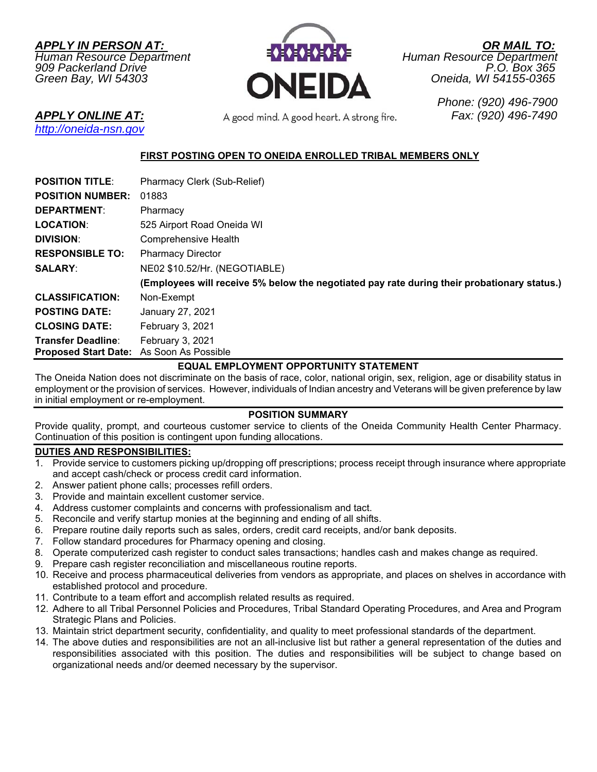*APPLY IN PERSON AT: OR MAIL TO:*



*Green Bay, WI 54303 Oneida, WI 54155-0365* 

*http://oneida-nsn.gov* 

*APPLY ONLINE AT: Fax: (920) 496-7490* 

 *Phone: (920) 496-7900* 

# **FIRST POSTING OPEN TO ONEIDA ENROLLED TRIBAL MEMBERS ONLY**

| <b>POSITION TITLE:</b>                                                | Pharmacy Clerk (Sub-Relief)                                                                 |
|-----------------------------------------------------------------------|---------------------------------------------------------------------------------------------|
| <b>POSITION NUMBER:</b>                                               | 01883                                                                                       |
| <b>DEPARTMENT:</b>                                                    | Pharmacy                                                                                    |
| LOCATION:                                                             | 525 Airport Road Oneida WI                                                                  |
| <b>DIVISION:</b>                                                      | <b>Comprehensive Health</b>                                                                 |
| <b>RESPONSIBLE TO:</b>                                                | <b>Pharmacy Director</b>                                                                    |
| <b>SALARY:</b>                                                        | NE02 \$10.52/Hr. (NEGOTIABLE)                                                               |
|                                                                       | (Employees will receive 5% below the negotiated pay rate during their probationary status.) |
| <b>CLASSIFICATION:</b>                                                | Non-Exempt                                                                                  |
| <b>POSTING DATE:</b>                                                  | January 27, 2021                                                                            |
| <b>CLOSING DATE:</b>                                                  | February 3, 2021                                                                            |
| <b>Transfer Deadline:</b><br>Proposed Start Date: As Soon As Possible | February 3, 2021                                                                            |
|                                                                       |                                                                                             |

# **EQUAL EMPLOYMENT OPPORTUNITY STATEMENT**

The Oneida Nation does not discriminate on the basis of race, color, national origin, sex, religion, age or disability status in employment or the provision of services. However, individuals of Indian ancestry and Veterans will be given preference by law in initial employment or re-employment.

#### **POSITION SUMMARY**

Provide quality, prompt, and courteous customer service to clients of the Oneida Community Health Center Pharmacy. Continuation of this position is contingent upon funding allocations.

# **DUTIES AND RESPONSIBILITIES:**

- 1. Provide service to customers picking up/dropping off prescriptions; process receipt through insurance where appropriate and accept cash/check or process credit card information.
- 2. Answer patient phone calls; processes refill orders.
- 3. Provide and maintain excellent customer service.
- 4. Address customer complaints and concerns with professionalism and tact.
- 5. Reconcile and verify startup monies at the beginning and ending of all shifts.
- 6. Prepare routine daily reports such as sales, orders, credit card receipts, and/or bank deposits.
- 7. Follow standard procedures for Pharmacy opening and closing.
- 8. Operate computerized cash register to conduct sales transactions; handles cash and makes change as required.
- 9. Prepare cash register reconciliation and miscellaneous routine reports.
- 10. Receive and process pharmaceutical deliveries from vendors as appropriate, and places on shelves in accordance with established protocol and procedure.
- 11. Contribute to a team effort and accomplish related results as required.
- 12. Adhere to all Tribal Personnel Policies and Procedures, Tribal Standard Operating Procedures, and Area and Program Strategic Plans and Policies.
- 13. Maintain strict department security, confidentiality, and quality to meet professional standards of the department.
- 14. The above duties and responsibilities are not an all-inclusive list but rather a general representation of the duties and responsibilities associated with this position. The duties and responsibilities will be subject to change based on organizational needs and/or deemed necessary by the supervisor.